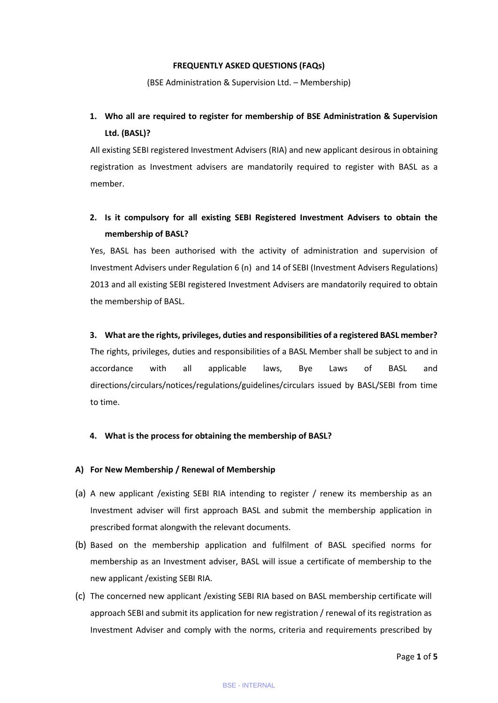#### **FREQUENTLY ASKED QUESTIONS (FAQs)**

(BSE Administration & Supervision Ltd. – Membership)

# **1. Who all are required to register for membership of BSE Administration & Supervision Ltd. (BASL)?**

All existing SEBI registered Investment Advisers (RIA) and new applicant desirous in obtaining registration as Investment advisers are mandatorily required to register with BASL as a member.

# **2. Is it compulsory for all existing SEBI Registered Investment Advisers to obtain the membership of BASL?**

Yes, BASL has been authorised with the activity of administration and supervision of Investment Advisers under Regulation 6 (n) and 14 of SEBI (Investment Advisers Regulations) 2013 and all existing SEBI registered Investment Advisers are mandatorily required to obtain the membership of BASL.

### **3. What are the rights, privileges, duties and responsibilities of a registered BASL member?**

The rights, privileges, duties and responsibilities of a BASL Member shall be subject to and in accordance with all applicable laws, Bye Laws of BASL and directions/circulars/notices/regulations/guidelines/circulars issued by BASL/SEBI from time to time.

### **4. What is the process for obtaining the membership of BASL?**

### **A) For New Membership / Renewal of Membership**

- (a) A new applicant /existing SEBI RIA intending to register / renew its membership as an Investment adviser will first approach BASL and submit the membership application in prescribed format alongwith the relevant documents.
- (b) Based on the membership application and fulfilment of BASL specified norms for membership as an Investment adviser, BASL will issue a certificate of membership to the new applicant /existing SEBI RIA.
- (c) The concerned new applicant /existing SEBI RIA based on BASL membership certificate will approach SEBI and submit its application for new registration / renewal of its registration as Investment Adviser and comply with the norms, criteria and requirements prescribed by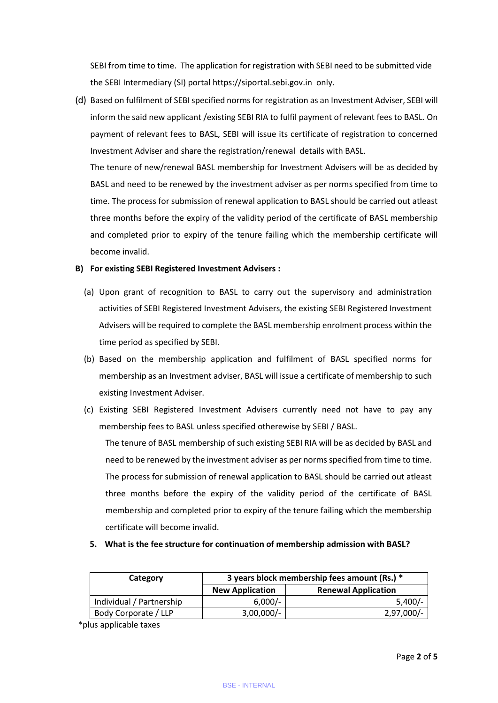SEBI from time to time. The application for registration with SEBI need to be submitted vide the SEBI Intermediary (SI) portal [https://siportal.sebi.gov.in](https://ind01.safelinks.protection.outlook.com/?url=https%3A%2F%2Fsiportal.sebi.gov.in%2F&data=04%7C01%7Csurendra.rashinkar%40bseasl.com%7Cdf93be5012ce41619e3908d92b1d406f%7C673d78df71354df68573dba39180888d%7C0%7C0%7C637588226927913105%7CUnknown%7CTWFpbGZsb3d8eyJWIjoiMC4wLjAwMDAiLCJQIjoiV2luMzIiLCJBTiI6Ik1haWwiLCJXVCI6Mn0%3D%7C1000&sdata=WJgJBz1xC3Zm9vMgAKfJUog2Sh0SKYdcfe3%2Bi6M7px8%3D&reserved=0) only.

(d) Based on fulfilment of SEBI specified norms for registration as an Investment Adviser, SEBI will inform the said new applicant /existing SEBI RIA to fulfil payment of relevant fees to BASL. On payment of relevant fees to BASL, SEBI will issue its certificate of registration to concerned Investment Adviser and share the registration/renewal details with BASL.

The tenure of new/renewal BASL membership for Investment Advisers will be as decided by BASL and need to be renewed by the investment adviser as per norms specified from time to time. The process for submission of renewal application to BASL should be carried out atleast three months before the expiry of the validity period of the certificate of BASL membership and completed prior to expiry of the tenure failing which the membership certificate will become invalid.

### **B) For existing SEBI Registered Investment Advisers :**

- (a) Upon grant of recognition to BASL to carry out the supervisory and administration activities of SEBI Registered Investment Advisers, the existing SEBI Registered Investment Advisers will be required to complete the BASL membership enrolment process within the time period as specified by SEBI.
- (b) Based on the membership application and fulfilment of BASL specified norms for membership as an Investment adviser, BASL will issue a certificate of membership to such existing Investment Adviser.
- (c) Existing SEBI Registered Investment Advisers currently need not have to pay any membership fees to BASL unless specified otherewise by SEBI / BASL.

The tenure of BASL membership of such existing SEBI RIA will be as decided by BASL and need to be renewed by the investment adviser as per norms specified from time to time. The process for submission of renewal application to BASL should be carried out atleast three months before the expiry of the validity period of the certificate of BASL membership and completed prior to expiry of the tenure failing which the membership certificate will become invalid.

### **5. What is the fee structure for continuation of membership admission with BASL?**

| Category                 | 3 years block membership fees amount (Rs.) * |                            |  |  |  |
|--------------------------|----------------------------------------------|----------------------------|--|--|--|
|                          | <b>New Application</b>                       | <b>Renewal Application</b> |  |  |  |
| Individual / Partnership | $6,000/-$                                    | $5,400/-$                  |  |  |  |
| Body Corporate / LLP     | $3,00,000/$ -                                | 2,97,000/-                 |  |  |  |

\*plus applicable taxes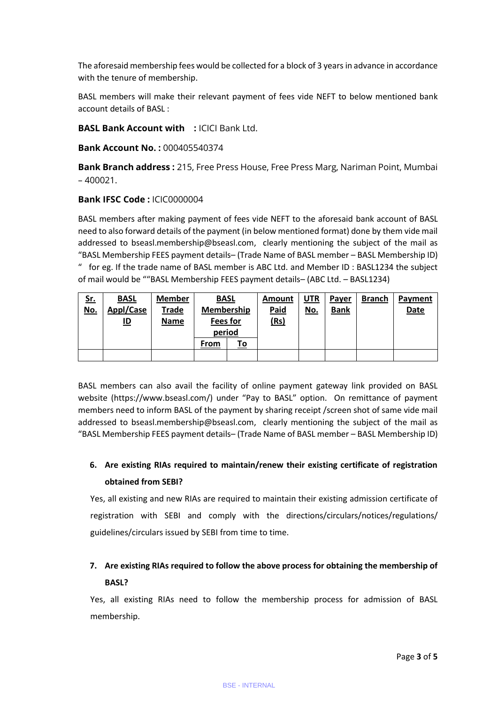The aforesaid membership fees would be collected for a block of 3 years in advance in accordance with the tenure of membership.

BASL members will make their relevant payment of fees vide NEFT to below mentioned bank account details of BASL :

**BASL Bank Account with :** ICICI Bank Ltd.

**Bank Account No. :** 000405540374

**Bank Branch address :** 215, Free Press House, Free Press Marg, Nariman Point, Mumbai  $-400021$ .

### **Bank IFSC Code :** ICIC0000004

BASL members after making payment of fees vide NEFT to the aforesaid bank account of BASL need to also forward details of the payment (in below mentioned format) done by them vide mail addressed to [bseasl.membership@bseasl.com,](https://testadmin.bseindia.com/ria/bseasl.membership@bseasl.com) clearly mentioning the subject of the mail as "BASL Membership FEES payment details– (Trade Name of BASL member – BASL Membership ID) " for eg. If the trade name of BASL member is ABC Ltd. and Member ID : BASL1234 the subject of mail would be ""BASL Membership FEES payment details– (ABC Ltd. – BASL1234)

| <u>Sr.</u> | <b>BASL</b> | <b>Member</b> | <b>BASL</b> |           | Amount      | <b>UTR</b> | Payer       | <b>Branch</b> | Payment     |
|------------|-------------|---------------|-------------|-----------|-------------|------------|-------------|---------------|-------------|
| <u>No.</u> | Appl/Case   | Trade         | Membership  |           | <b>Paid</b> | <u>No.</u> | <b>Bank</b> |               | <b>Date</b> |
|            | <u>ID</u>   | <b>Name</b>   | Fees for    |           | <u>(Rs)</u> |            |             |               |             |
|            |             |               | period      |           |             |            |             |               |             |
|            |             |               | From        | <u>To</u> |             |            |             |               |             |
|            |             |               |             |           |             |            |             |               |             |

BASL members can also avail the facility of online payment gateway link provided on BASL website [\(https://www.bseasl.com/](https://www.bseasl.com/)) under "Pay to BASL" option. On remittance of payment members need to inform BASL of the payment by sharing receipt /screen shot of same vide mail addressed to [bseasl.membership@bseasl.com,](https://testadmin.bseindia.com/ria/bseasl.membership@bseasl.com) clearly mentioning the subject of the mail as "BASL Membership FEES payment details– (Trade Name of BASL member – BASL Membership ID)

# **6. Are existing RIAs required to maintain/renew their existing certificate of registration obtained from SEBI?**

Yes, all existing and new RIAs are required to maintain their existing admission certificate of registration with SEBI and comply with the directions/circulars/notices/regulations/ guidelines/circulars issued by SEBI from time to time.

# **7. Are existing RIAs required to follow the above process for obtaining the membership of BASL?**

Yes, all existing RIAs need to follow the membership process for admission of BASL membership.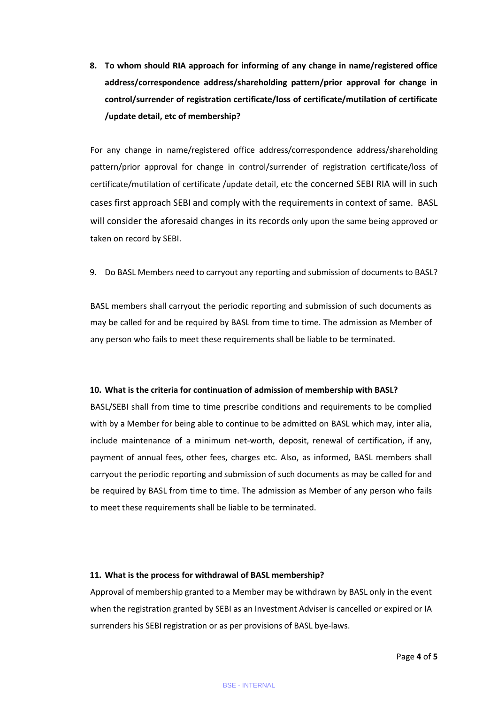**8. To whom should RIA approach for informing of any change in name/registered office address/correspondence address/shareholding pattern/prior approval for change in control/surrender of registration certificate/loss of certificate/mutilation of certificate /update detail, etc of membership?**

For any change in name/registered office address/correspondence address/shareholding pattern/prior approval for change in control/surrender of registration certificate/loss of certificate/mutilation of certificate /update detail, etc the concerned SEBI RIA will in such cases first approach SEBI and comply with the requirements in context of same. BASL will consider the aforesaid changes in its records only upon the same being approved or taken on record by SEBI.

9. Do BASL Members need to carryout any reporting and submission of documents to BASL?

BASL members shall carryout the periodic reporting and submission of such documents as may be called for and be required by BASL from time to time. The admission as Member of any person who fails to meet these requirements shall be liable to be terminated.

#### **10. What is the criteria for continuation of admission of membership with BASL?**

BASL/SEBI shall from time to time prescribe conditions and requirements to be complied with by a Member for being able to continue to be admitted on BASL which may, inter alia, include maintenance of a minimum net-worth, deposit, renewal of certification, if any, payment of annual fees, other fees, charges etc. Also, as informed, BASL members shall carryout the periodic reporting and submission of such documents as may be called for and be required by BASL from time to time. The admission as Member of any person who fails to meet these requirements shall be liable to be terminated.

#### **11. What is the process for withdrawal of BASL membership?**

Approval of membership granted to a Member may be withdrawn by BASL only in the event when the registration granted by SEBI as an Investment Adviser is cancelled or expired or IA surrenders his SEBI registration or as per provisions of BASL bye-laws.